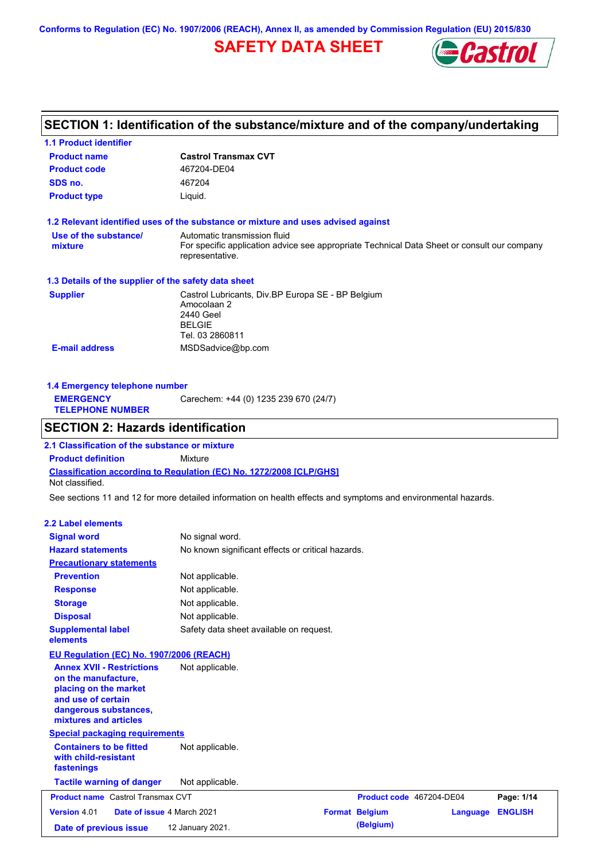# **SAFETY DATA SHEET**



# **SECTION 1: Identification of the substance/mixture and of the company/undertaking**

| <b>1.1 Product identifier</b>                                                                                                                            |                                                                                                                   |                          |          |                |
|----------------------------------------------------------------------------------------------------------------------------------------------------------|-------------------------------------------------------------------------------------------------------------------|--------------------------|----------|----------------|
| <b>Product name</b>                                                                                                                                      | <b>Castrol Transmax CVT</b>                                                                                       |                          |          |                |
| <b>Product code</b>                                                                                                                                      | 467204-DE04                                                                                                       |                          |          |                |
| SDS no.                                                                                                                                                  | 467204                                                                                                            |                          |          |                |
| <b>Product type</b>                                                                                                                                      | Liquid.                                                                                                           |                          |          |                |
| 1.2 Relevant identified uses of the substance or mixture and uses advised against                                                                        |                                                                                                                   |                          |          |                |
| Use of the substance/                                                                                                                                    | Automatic transmission fluid                                                                                      |                          |          |                |
| mixture                                                                                                                                                  | For specific application advice see appropriate Technical Data Sheet or consult our company<br>representative.    |                          |          |                |
| 1.3 Details of the supplier of the safety data sheet                                                                                                     |                                                                                                                   |                          |          |                |
| <b>Supplier</b>                                                                                                                                          | Castrol Lubricants, Div.BP Europa SE - BP Belgium<br>Amocolaan 2<br>2440 Geel<br><b>BELGIE</b><br>Tel. 03 2860811 |                          |          |                |
| <b>E-mail address</b>                                                                                                                                    | MSDSadvice@bp.com                                                                                                 |                          |          |                |
|                                                                                                                                                          |                                                                                                                   |                          |          |                |
| 1.4 Emergency telephone number<br><b>EMERGENCY</b>                                                                                                       | Carechem: +44 (0) 1235 239 670 (24/7)                                                                             |                          |          |                |
| <b>TELEPHONE NUMBER</b>                                                                                                                                  |                                                                                                                   |                          |          |                |
| <b>SECTION 2: Hazards identification</b>                                                                                                                 |                                                                                                                   |                          |          |                |
| 2.1 Classification of the substance or mixture                                                                                                           |                                                                                                                   |                          |          |                |
| <b>Product definition</b>                                                                                                                                | Mixture                                                                                                           |                          |          |                |
| Classification according to Regulation (EC) No. 1272/2008 [CLP/GHS]<br>Not classified.                                                                   |                                                                                                                   |                          |          |                |
|                                                                                                                                                          |                                                                                                                   |                          |          |                |
| See sections 11 and 12 for more detailed information on health effects and symptoms and environmental hazards.                                           |                                                                                                                   |                          |          |                |
| <b>2.2 Label elements</b>                                                                                                                                |                                                                                                                   |                          |          |                |
| <b>Signal word</b>                                                                                                                                       | No signal word.                                                                                                   |                          |          |                |
| <b>Hazard statements</b>                                                                                                                                 | No known significant effects or critical hazards.                                                                 |                          |          |                |
| <b>Precautionary statements</b>                                                                                                                          |                                                                                                                   |                          |          |                |
| <b>Prevention</b>                                                                                                                                        | Not applicable.                                                                                                   |                          |          |                |
| <b>Response</b>                                                                                                                                          | Not applicable.                                                                                                   |                          |          |                |
| <b>Storage</b>                                                                                                                                           | Not applicable.                                                                                                   |                          |          |                |
| <b>Disposal</b>                                                                                                                                          | Not applicable.                                                                                                   |                          |          |                |
| <b>Supplemental label</b><br>elements                                                                                                                    | Safety data sheet available on request.                                                                           |                          |          |                |
| EU Regulation (EC) No. 1907/2006 (REACH)                                                                                                                 |                                                                                                                   |                          |          |                |
| <b>Annex XVII - Restrictions</b><br>on the manufacture,<br>placing on the market<br>and use of certain<br>dangerous substances,<br>mixtures and articles | Not applicable.                                                                                                   |                          |          |                |
| <b>Special packaging requirements</b>                                                                                                                    |                                                                                                                   |                          |          |                |
| <b>Containers to be fitted</b><br>with child-resistant                                                                                                   | Not applicable.                                                                                                   |                          |          |                |
| fastenings                                                                                                                                               |                                                                                                                   |                          |          |                |
| <b>Tactile warning of danger</b>                                                                                                                         | Not applicable.                                                                                                   |                          |          |                |
| <b>Product name</b> Castrol Transmax CVT                                                                                                                 |                                                                                                                   | Product code 467204-DE04 |          | Page: 1/14     |
| <b>Version 4.01</b>                                                                                                                                      | Date of issue 4 March 2021                                                                                        | <b>Format Belgium</b>    | Language | <b>ENGLISH</b> |
| Date of previous issue                                                                                                                                   | 12 January 2021.                                                                                                  | (Belgium)                |          |                |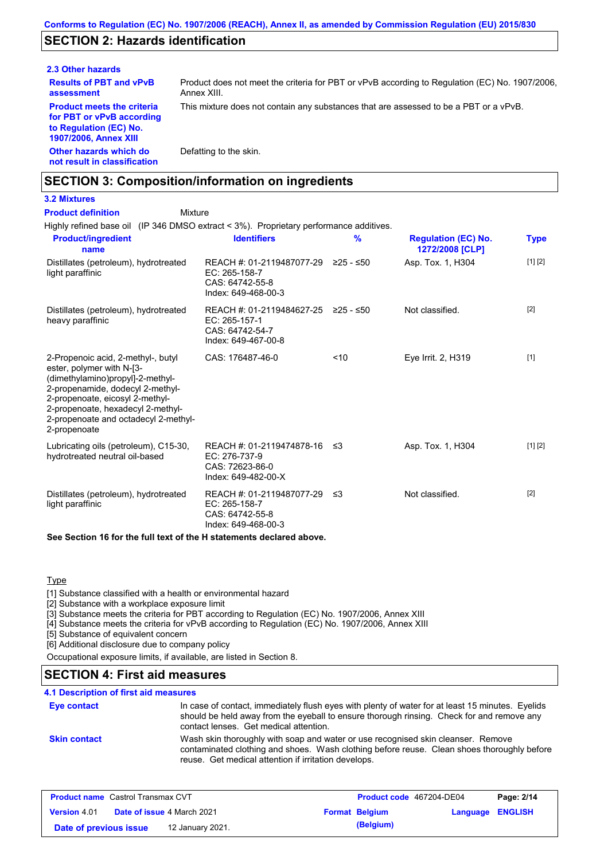### **SECTION 2: Hazards identification**

#### **2.3 Other hazards**

**Results of PBT and vPvB assessment**

**Product meets the criteria for PBT or vPvB according to Regulation (EC) No. 1907/2006, Annex XIII**

Product does not meet the criteria for PBT or vPvB according to Regulation (EC) No. 1907/2006, Annex XIII.

This mixture does not contain any substances that are assessed to be a PBT or a vPvB.

**Other hazards which do not result in classification** Defatting to the skin.

### **SECTION 3: Composition/information on ingredients**

**Mixture** 

### **3.2 Mixtures**

**Product definition**

Highly refined base oil (IP 346 DMSO extract < 3%). Proprietary performance additives.

| <b>Product/ingredient</b><br>name                                                                                                                                                                                                                                       | <b>Identifiers</b>                                                                   | $\frac{9}{6}$ | <b>Regulation (EC) No.</b><br>1272/2008 [CLP] | <b>Type</b> |
|-------------------------------------------------------------------------------------------------------------------------------------------------------------------------------------------------------------------------------------------------------------------------|--------------------------------------------------------------------------------------|---------------|-----------------------------------------------|-------------|
| Distillates (petroleum), hydrotreated<br>light paraffinic                                                                                                                                                                                                               | REACH #: 01-2119487077-29<br>EC: 265-158-7<br>CAS: 64742-55-8<br>Index: 649-468-00-3 | ≥25 - ≤50     | Asp. Tox. 1, H304                             | [1] [2]     |
| Distillates (petroleum), hydrotreated<br>heavy paraffinic                                                                                                                                                                                                               | REACH #: 01-2119484627-25<br>EC: 265-157-1<br>CAS: 64742-54-7<br>Index: 649-467-00-8 | ≥25 - ≤50     | Not classified.                               | $[2]$       |
| 2-Propenoic acid, 2-methyl-, butyl<br>ester, polymer with N-[3-<br>(dimethylamino)propyl]-2-methyl-<br>2-propenamide, dodecyl 2-methyl-<br>2-propenoate, eicosyl 2-methyl-<br>2-propenoate, hexadecyl 2-methyl-<br>2-propenoate and octadecyl 2-methyl-<br>2-propenoate | CAS: 176487-46-0                                                                     | $<$ 10        | Eye Irrit. 2, H319                            | $[1]$       |
| Lubricating oils (petroleum), C15-30,<br>hydrotreated neutral oil-based                                                                                                                                                                                                 | REACH #: 01-2119474878-16<br>EC: 276-737-9<br>CAS: 72623-86-0<br>Index: 649-482-00-X | -≤3           | Asp. Tox. 1, H304                             | [1] [2]     |
| Distillates (petroleum), hydrotreated<br>light paraffinic                                                                                                                                                                                                               | REACH #: 01-2119487077-29<br>EC: 265-158-7<br>CAS: 64742-55-8<br>Index: 649-468-00-3 | -≤3           | Not classified.                               | $[2]$       |

**See Section 16 for the full text of the H statements declared above.**

**Type** 

[1] Substance classified with a health or environmental hazard

[2] Substance with a workplace exposure limit

[3] Substance meets the criteria for PBT according to Regulation (EC) No. 1907/2006, Annex XIII

[4] Substance meets the criteria for vPvB according to Regulation (EC) No. 1907/2006, Annex XIII

[5] Substance of equivalent concern

[6] Additional disclosure due to company policy

Occupational exposure limits, if available, are listed in Section 8.

### **SECTION 4: First aid measures**

### **4.1 Description of first aid measures**

| <b>Eye contact</b>  | In case of contact, immediately flush eyes with plenty of water for at least 15 minutes. Eyelids<br>should be held away from the eyeball to ensure thorough rinsing. Check for and remove any<br>contact lenses. Get medical attention. |
|---------------------|-----------------------------------------------------------------------------------------------------------------------------------------------------------------------------------------------------------------------------------------|
| <b>Skin contact</b> | Wash skin thoroughly with soap and water or use recognised skin cleanser. Remove<br>contaminated clothing and shoes. Wash clothing before reuse. Clean shoes thoroughly before<br>reuse. Get medical attention if irritation develops.  |

| <b>Product name</b> Castrol Transmax CVT |                                   | <b>Product code</b> 467204-DE04 |                  | Page: 2/14 |
|------------------------------------------|-----------------------------------|---------------------------------|------------------|------------|
| <b>Version 4.01</b>                      | <b>Date of issue 4 March 2021</b> | <b>Format Belgium</b>           | Language ENGLISH |            |
| Date of previous issue                   | 12 January 2021.                  | (Belgium)                       |                  |            |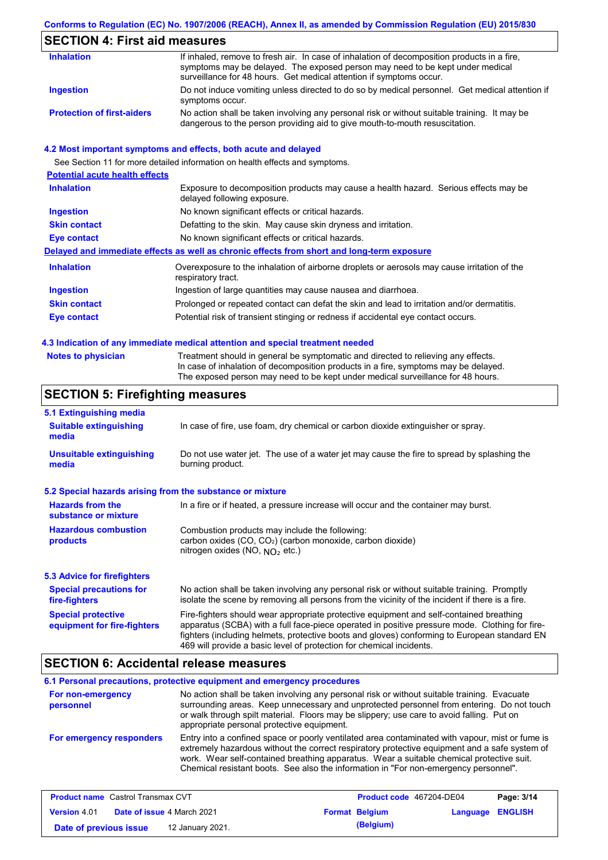## **SECTION 4: First aid measures**

| <b>Inhalation</b>                 | If inhaled, remove to fresh air. In case of inhalation of decomposition products in a fire,<br>symptoms may be delayed. The exposed person may need to be kept under medical<br>surveillance for 48 hours. Get medical attention if symptoms occur. |
|-----------------------------------|-----------------------------------------------------------------------------------------------------------------------------------------------------------------------------------------------------------------------------------------------------|
| Ingestion                         | Do not induce vomiting unless directed to do so by medical personnel. Get medical attention if<br>symptoms occur.                                                                                                                                   |
| <b>Protection of first-aiders</b> | No action shall be taken involving any personal risk or without suitable training. It may be<br>dangerous to the person providing aid to give mouth-to-mouth resuscitation.                                                                         |

### **4.2 Most important symptoms and effects, both acute and delayed**

See Section 11 for more detailed information on health effects and symptoms.

| <b>Potential acute health effects</b> |                                                                                                                     |
|---------------------------------------|---------------------------------------------------------------------------------------------------------------------|
| <b>Inhalation</b>                     | Exposure to decomposition products may cause a health hazard. Serious effects may be<br>delayed following exposure. |
| <b>Ingestion</b>                      | No known significant effects or critical hazards.                                                                   |
| <b>Skin contact</b>                   | Defatting to the skin. May cause skin dryness and irritation.                                                       |
| <b>Eye contact</b>                    | No known significant effects or critical hazards.                                                                   |
|                                       | Delayed and immediate effects as well as chronic effects from short and long-term exposure                          |
| <b>Inhalation</b>                     | Overexposure to the inhalation of airborne droplets or aerosols may cause irritation of the<br>respiratory tract.   |
| <b>Ingestion</b>                      | Ingestion of large quantities may cause nausea and diarrhoea.                                                       |
| <b>Skin contact</b>                   | Prolonged or repeated contact can defat the skin and lead to irritation and/or dermatitis.                          |
| Eye contact                           | Potential risk of transient stinging or redness if accidental eye contact occurs.                                   |
|                                       |                                                                                                                     |

### **4.3 Indication of any immediate medical attention and special treatment needed**

| Notes to physician | Treatment should in general be symptomatic and directed to relieving any effects.   |
|--------------------|-------------------------------------------------------------------------------------|
|                    | In case of inhalation of decomposition products in a fire, symptoms may be delayed. |
|                    | The exposed person may need to be kept under medical surveillance for 48 hours.     |

## **SECTION 5: Firefighting measures**

| 5.1 Extinguishing media                                   |                                                                                                                                                                                                                                                                                                                                                                   |
|-----------------------------------------------------------|-------------------------------------------------------------------------------------------------------------------------------------------------------------------------------------------------------------------------------------------------------------------------------------------------------------------------------------------------------------------|
| <b>Suitable extinguishing</b><br>media                    | In case of fire, use foam, dry chemical or carbon dioxide extinguisher or spray.                                                                                                                                                                                                                                                                                  |
| <b>Unsuitable extinguishing</b><br>media                  | Do not use water jet. The use of a water jet may cause the fire to spread by splashing the<br>burning product.                                                                                                                                                                                                                                                    |
| 5.2 Special hazards arising from the substance or mixture |                                                                                                                                                                                                                                                                                                                                                                   |
| <b>Hazards from the</b><br>substance or mixture           | In a fire or if heated, a pressure increase will occur and the container may burst.                                                                                                                                                                                                                                                                               |
| <b>Hazardous combustion</b><br>products                   | Combustion products may include the following:<br>carbon oxides (CO, CO <sub>2</sub> ) (carbon monoxide, carbon dioxide)<br>nitrogen oxides (NO, $NO2$ etc.)                                                                                                                                                                                                      |
| 5.3 Advice for firefighters                               |                                                                                                                                                                                                                                                                                                                                                                   |
| <b>Special precautions for</b><br>fire-fighters           | No action shall be taken involving any personal risk or without suitable training. Promptly<br>isolate the scene by removing all persons from the vicinity of the incident if there is a fire.                                                                                                                                                                    |
| <b>Special protective</b><br>equipment for fire-fighters  | Fire-fighters should wear appropriate protective equipment and self-contained breathing<br>apparatus (SCBA) with a full face-piece operated in positive pressure mode. Clothing for fire-<br>fighters (including helmets, protective boots and gloves) conforming to European standard EN<br>469 will provide a basic level of protection for chemical incidents. |

### **SECTION 6: Accidental release measures**

|                                | 6.1 Personal precautions, protective equipment and emergency procedures                                                                                                                                                                                                                                                                                                              |
|--------------------------------|--------------------------------------------------------------------------------------------------------------------------------------------------------------------------------------------------------------------------------------------------------------------------------------------------------------------------------------------------------------------------------------|
| For non-emergency<br>personnel | No action shall be taken involving any personal risk or without suitable training. Evacuate<br>surrounding areas. Keep unnecessary and unprotected personnel from entering. Do not touch<br>or walk through spilt material. Floors may be slippery; use care to avoid falling. Put on<br>appropriate personal protective equipment.                                                  |
| For emergency responders       | Entry into a confined space or poorly ventilated area contaminated with vapour, mist or fume is<br>extremely hazardous without the correct respiratory protective equipment and a safe system of<br>work. Wear self-contained breathing apparatus. Wear a suitable chemical protective suit.<br>Chemical resistant boots. See also the information in "For non-emergency personnel". |

| <b>Product name</b> Castrol Transmax CVT |                                   | Product code 467204-DE04 |                  | Page: 3/14 |
|------------------------------------------|-----------------------------------|--------------------------|------------------|------------|
| <b>Version 4.01</b>                      | <b>Date of issue 4 March 2021</b> | <b>Format Belgium</b>    | Language ENGLISH |            |
| Date of previous issue                   | 12 January 2021.                  | (Belgium)                |                  |            |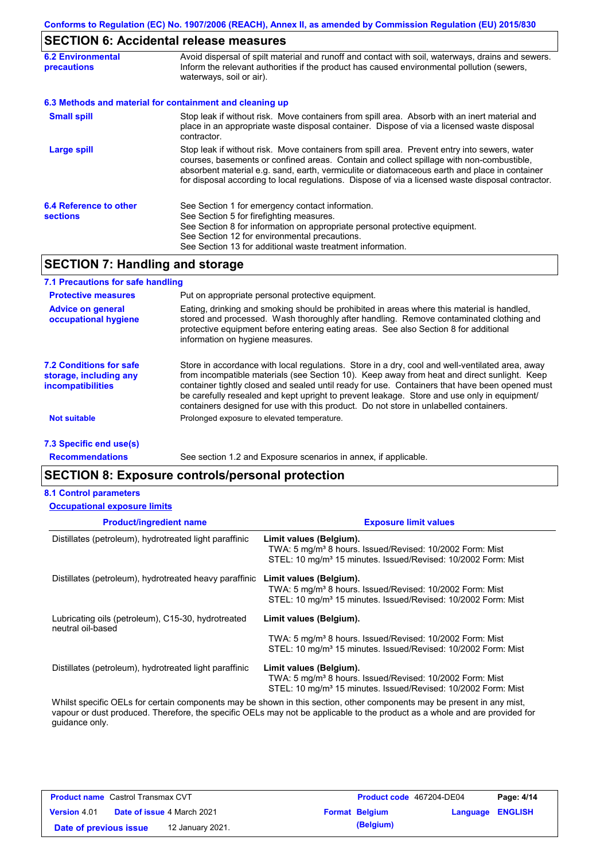## **SECTION 6: Accidental release measures**

| <b>6.2 Environmental</b><br><b>precautions</b> | Avoid dispersal of spilt material and runoff and contact with soil, waterways, drains and sewers.<br>Inform the relevant authorities if the product has caused environmental pollution (sewers,<br>waterways, soil or air).                                                                                                                                                                    |  |
|------------------------------------------------|------------------------------------------------------------------------------------------------------------------------------------------------------------------------------------------------------------------------------------------------------------------------------------------------------------------------------------------------------------------------------------------------|--|
|                                                | 6.3 Methods and material for containment and cleaning up                                                                                                                                                                                                                                                                                                                                       |  |
| <b>Small spill</b>                             | Stop leak if without risk. Move containers from spill area. Absorb with an inert material and<br>place in an appropriate waste disposal container. Dispose of via a licensed waste disposal<br>contractor.                                                                                                                                                                                     |  |
| Large spill                                    | Stop leak if without risk. Move containers from spill area. Prevent entry into sewers, water<br>courses, basements or confined areas. Contain and collect spillage with non-combustible,<br>absorbent material e.g. sand, earth, vermiculite or diatomaceous earth and place in container<br>for disposal according to local regulations. Dispose of via a licensed waste disposal contractor. |  |
| 6.4 Reference to other<br><b>sections</b>      | See Section 1 for emergency contact information.<br>See Section 5 for firefighting measures.<br>See Section 8 for information on appropriate personal protective equipment.<br>See Section 12 for environmental precautions.<br>See Section 13 for additional waste treatment information.                                                                                                     |  |

# **SECTION 7: Handling and storage**

| <b>Protective measures</b>                                                           | Put on appropriate personal protective equipment.                                                                                                                                                                                                                                                                                                                                                                                                                                        |
|--------------------------------------------------------------------------------------|------------------------------------------------------------------------------------------------------------------------------------------------------------------------------------------------------------------------------------------------------------------------------------------------------------------------------------------------------------------------------------------------------------------------------------------------------------------------------------------|
| <b>Advice on general</b><br>occupational hygiene                                     | Eating, drinking and smoking should be prohibited in areas where this material is handled.<br>stored and processed. Wash thoroughly after handling. Remove contaminated clothing and<br>protective equipment before entering eating areas. See also Section 8 for additional<br>information on hygiene measures.                                                                                                                                                                         |
| <b>7.2 Conditions for safe</b><br>storage, including any<br><b>incompatibilities</b> | Store in accordance with local requlations. Store in a dry, cool and well-ventilated area, away<br>from incompatible materials (see Section 10). Keep away from heat and direct sunlight. Keep<br>container tightly closed and sealed until ready for use. Containers that have been opened must<br>be carefully resealed and kept upright to prevent leakage. Store and use only in equipment/<br>containers designed for use with this product. Do not store in unlabelled containers. |
| <b>Not suitable</b>                                                                  | Prolonged exposure to elevated temperature.                                                                                                                                                                                                                                                                                                                                                                                                                                              |

**7.3 Specific end use(s) Recommendations**

See section 1.2 and Exposure scenarios in annex, if applicable.

### **SECTION 8: Exposure controls/personal protection**

### **8.1 Control parameters**

**Occupational exposure limits**

| <b>Product/ingredient name</b>                                          | <b>Exposure limit values</b>                                                                                                                                                                                                  |
|-------------------------------------------------------------------------|-------------------------------------------------------------------------------------------------------------------------------------------------------------------------------------------------------------------------------|
| Distillates (petroleum), hydrotreated light paraffinic                  | Limit values (Belgium).<br>TWA: 5 mg/m <sup>3</sup> 8 hours. Issued/Revised: 10/2002 Form: Mist<br>STEL: 10 mg/m <sup>3</sup> 15 minutes. Issued/Revised: 10/2002 Form: Mist                                                  |
| Distillates (petroleum), hydrotreated heavy paraffinic                  | Limit values (Belgium).<br>TWA: 5 mg/m <sup>3</sup> 8 hours. Issued/Revised: 10/2002 Form: Mist<br>STEL: 10 mg/m <sup>3</sup> 15 minutes. Issued/Revised: 10/2002 Form: Mist                                                  |
| Lubricating oils (petroleum), C15-30, hydrotreated<br>neutral oil-based | Limit values (Belgium).                                                                                                                                                                                                       |
|                                                                         | TWA: 5 mg/m <sup>3</sup> 8 hours. Issued/Revised: 10/2002 Form: Mist<br>STEL: 10 mg/m <sup>3</sup> 15 minutes. Issued/Revised: 10/2002 Form: Mist                                                                             |
| Distillates (petroleum), hydrotreated light paraffinic                  | Limit values (Belgium).<br>TWA: 5 mg/m <sup>3</sup> 8 hours. Issued/Revised: 10/2002 Form: Mist<br>STEL: 10 mg/m <sup>3</sup> 15 minutes. Issued/Revised: 10/2002 Form: Mist                                                  |
|                                                                         | WILHER ESTRIK ∧FLT for contabilities in the second of the contability of the contract of the second to second be contabilities in the second of the second of the second of the second of the second of the second of the sec |

Whilst specific OELs for certain components may be shown in this section, other components may be present in any mist, vapour or dust produced. Therefore, the specific OELs may not be applicable to the product as a whole and are provided for guidance only.

| <b>Product name</b> Castrol Transmax CVT |  | Product code 467204-DE04          |  | Page: 4/14            |                         |  |
|------------------------------------------|--|-----------------------------------|--|-----------------------|-------------------------|--|
| <b>Version 4.01</b>                      |  | <b>Date of issue 4 March 2021</b> |  | <b>Format Belgium</b> | <b>Language ENGLISH</b> |  |
| Date of previous issue                   |  | 12 January 2021.                  |  | (Belgium)             |                         |  |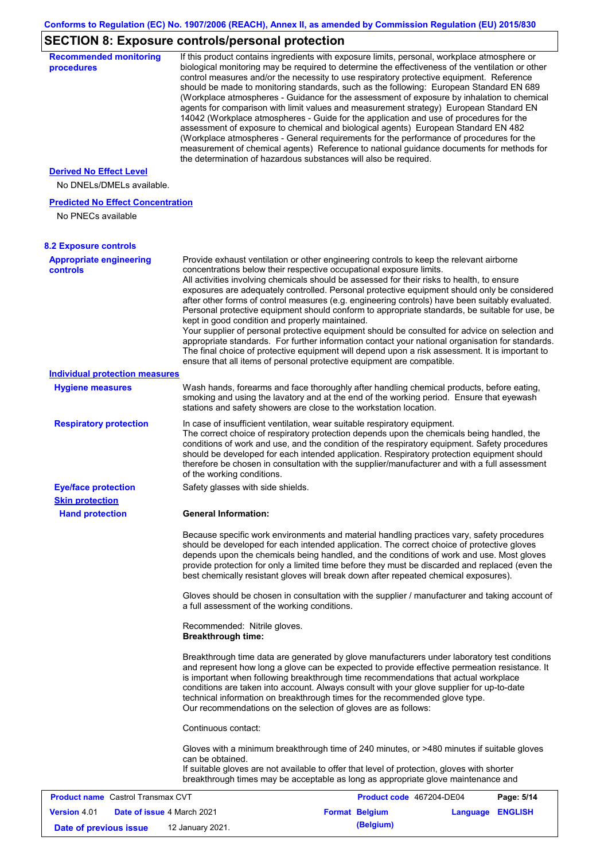# **SECTION 8: Exposure controls/personal protection**

| <b>Recommended monitoring</b><br>procedures                 |                                                           | If this product contains ingredients with exposure limits, personal, workplace atmosphere or<br>biological monitoring may be required to determine the effectiveness of the ventilation or other<br>control measures and/or the necessity to use respiratory protective equipment. Reference<br>should be made to monitoring standards, such as the following: European Standard EN 689<br>(Workplace atmospheres - Guidance for the assessment of exposure by inhalation to chemical<br>agents for comparison with limit values and measurement strategy) European Standard EN<br>14042 (Workplace atmospheres - Guide for the application and use of procedures for the<br>assessment of exposure to chemical and biological agents) European Standard EN 482<br>(Workplace atmospheres - General requirements for the performance of procedures for the<br>measurement of chemical agents) Reference to national guidance documents for methods for<br>the determination of hazardous substances will also be required. |                  |            |
|-------------------------------------------------------------|-----------------------------------------------------------|----------------------------------------------------------------------------------------------------------------------------------------------------------------------------------------------------------------------------------------------------------------------------------------------------------------------------------------------------------------------------------------------------------------------------------------------------------------------------------------------------------------------------------------------------------------------------------------------------------------------------------------------------------------------------------------------------------------------------------------------------------------------------------------------------------------------------------------------------------------------------------------------------------------------------------------------------------------------------------------------------------------------------|------------------|------------|
| <b>Derived No Effect Level</b><br>No DNELs/DMELs available. |                                                           |                                                                                                                                                                                                                                                                                                                                                                                                                                                                                                                                                                                                                                                                                                                                                                                                                                                                                                                                                                                                                            |                  |            |
| <b>Predicted No Effect Concentration</b>                    |                                                           |                                                                                                                                                                                                                                                                                                                                                                                                                                                                                                                                                                                                                                                                                                                                                                                                                                                                                                                                                                                                                            |                  |            |
| No PNECs available                                          |                                                           |                                                                                                                                                                                                                                                                                                                                                                                                                                                                                                                                                                                                                                                                                                                                                                                                                                                                                                                                                                                                                            |                  |            |
| <b>8.2 Exposure controls</b>                                |                                                           |                                                                                                                                                                                                                                                                                                                                                                                                                                                                                                                                                                                                                                                                                                                                                                                                                                                                                                                                                                                                                            |                  |            |
| <b>Appropriate engineering</b><br><b>controls</b>           | kept in good condition and properly maintained.           | Provide exhaust ventilation or other engineering controls to keep the relevant airborne<br>concentrations below their respective occupational exposure limits.<br>All activities involving chemicals should be assessed for their risks to health, to ensure<br>exposures are adequately controlled. Personal protective equipment should only be considered<br>after other forms of control measures (e.g. engineering controls) have been suitably evaluated.<br>Personal protective equipment should conform to appropriate standards, be suitable for use, be<br>Your supplier of personal protective equipment should be consulted for advice on selection and<br>appropriate standards. For further information contact your national organisation for standards.<br>The final choice of protective equipment will depend upon a risk assessment. It is important to<br>ensure that all items of personal protective equipment are compatible.                                                                       |                  |            |
| <b>Individual protection measures</b>                       |                                                           |                                                                                                                                                                                                                                                                                                                                                                                                                                                                                                                                                                                                                                                                                                                                                                                                                                                                                                                                                                                                                            |                  |            |
| <b>Hygiene measures</b>                                     |                                                           | Wash hands, forearms and face thoroughly after handling chemical products, before eating,<br>smoking and using the lavatory and at the end of the working period. Ensure that eyewash<br>stations and safety showers are close to the workstation location.                                                                                                                                                                                                                                                                                                                                                                                                                                                                                                                                                                                                                                                                                                                                                                |                  |            |
| <b>Respiratory protection</b>                               | of the working conditions.                                | In case of insufficient ventilation, wear suitable respiratory equipment.<br>The correct choice of respiratory protection depends upon the chemicals being handled, the<br>conditions of work and use, and the condition of the respiratory equipment. Safety procedures<br>should be developed for each intended application. Respiratory protection equipment should<br>therefore be chosen in consultation with the supplier/manufacturer and with a full assessment                                                                                                                                                                                                                                                                                                                                                                                                                                                                                                                                                    |                  |            |
| <b>Eye/face protection</b>                                  | Safety glasses with side shields.                         |                                                                                                                                                                                                                                                                                                                                                                                                                                                                                                                                                                                                                                                                                                                                                                                                                                                                                                                                                                                                                            |                  |            |
| <b>Skin protection</b>                                      |                                                           |                                                                                                                                                                                                                                                                                                                                                                                                                                                                                                                                                                                                                                                                                                                                                                                                                                                                                                                                                                                                                            |                  |            |
| <b>Hand protection</b>                                      | <b>General Information:</b>                               |                                                                                                                                                                                                                                                                                                                                                                                                                                                                                                                                                                                                                                                                                                                                                                                                                                                                                                                                                                                                                            |                  |            |
|                                                             |                                                           | Because specific work environments and material handling practices vary, safety procedures<br>should be developed for each intended application. The correct choice of protective gloves<br>depends upon the chemicals being handled, and the conditions of work and use. Most gloves<br>provide protection for only a limited time before they must be discarded and replaced (even the<br>best chemically resistant gloves will break down after repeated chemical exposures).                                                                                                                                                                                                                                                                                                                                                                                                                                                                                                                                           |                  |            |
|                                                             | a full assessment of the working conditions.              | Gloves should be chosen in consultation with the supplier / manufacturer and taking account of                                                                                                                                                                                                                                                                                                                                                                                                                                                                                                                                                                                                                                                                                                                                                                                                                                                                                                                             |                  |            |
|                                                             | Recommended: Nitrile gloves.<br><b>Breakthrough time:</b> |                                                                                                                                                                                                                                                                                                                                                                                                                                                                                                                                                                                                                                                                                                                                                                                                                                                                                                                                                                                                                            |                  |            |
|                                                             |                                                           | Breakthrough time data are generated by glove manufacturers under laboratory test conditions<br>and represent how long a glove can be expected to provide effective permeation resistance. It<br>is important when following breakthrough time recommendations that actual workplace<br>conditions are taken into account. Always consult with your glove supplier for up-to-date<br>technical information on breakthrough times for the recommended glove type.<br>Our recommendations on the selection of gloves are as follows:                                                                                                                                                                                                                                                                                                                                                                                                                                                                                         |                  |            |
|                                                             | Continuous contact:                                       |                                                                                                                                                                                                                                                                                                                                                                                                                                                                                                                                                                                                                                                                                                                                                                                                                                                                                                                                                                                                                            |                  |            |
|                                                             | can be obtained.                                          | Gloves with a minimum breakthrough time of 240 minutes, or >480 minutes if suitable gloves<br>If suitable gloves are not available to offer that level of protection, gloves with shorter<br>breakthrough times may be acceptable as long as appropriate glove maintenance and                                                                                                                                                                                                                                                                                                                                                                                                                                                                                                                                                                                                                                                                                                                                             |                  |            |
| <b>Product name</b> Castrol Transmax CVT                    |                                                           | Product code 467204-DE04                                                                                                                                                                                                                                                                                                                                                                                                                                                                                                                                                                                                                                                                                                                                                                                                                                                                                                                                                                                                   |                  | Page: 5/14 |
| <b>Version 4.01</b><br>Date of issue 4 March 2021           |                                                           | <b>Format Belgium</b>                                                                                                                                                                                                                                                                                                                                                                                                                                                                                                                                                                                                                                                                                                                                                                                                                                                                                                                                                                                                      | Language ENGLISH |            |
| Date of previous issue                                      | 12 January 2021.                                          | (Belgium)                                                                                                                                                                                                                                                                                                                                                                                                                                                                                                                                                                                                                                                                                                                                                                                                                                                                                                                                                                                                                  |                  |            |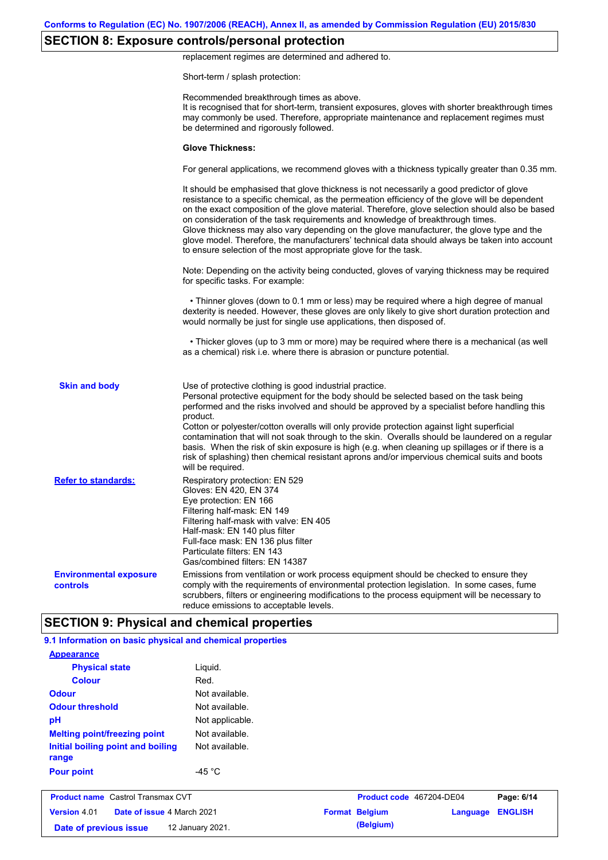# **SECTION 8: Exposure controls/personal protection**

replacement regimes are determined and adhered to.

Short-term / splash protection:

|                                                  | Recommended breakthrough times as above.<br>It is recognised that for short-term, transient exposures, gloves with shorter breakthrough times<br>may commonly be used. Therefore, appropriate maintenance and replacement regimes must<br>be determined and rigorously followed.                                                                                                                                                                                                                                                                                                                                                                                                      |
|--------------------------------------------------|---------------------------------------------------------------------------------------------------------------------------------------------------------------------------------------------------------------------------------------------------------------------------------------------------------------------------------------------------------------------------------------------------------------------------------------------------------------------------------------------------------------------------------------------------------------------------------------------------------------------------------------------------------------------------------------|
|                                                  | <b>Glove Thickness:</b>                                                                                                                                                                                                                                                                                                                                                                                                                                                                                                                                                                                                                                                               |
|                                                  | For general applications, we recommend gloves with a thickness typically greater than 0.35 mm.                                                                                                                                                                                                                                                                                                                                                                                                                                                                                                                                                                                        |
|                                                  | It should be emphasised that glove thickness is not necessarily a good predictor of glove<br>resistance to a specific chemical, as the permeation efficiency of the glove will be dependent<br>on the exact composition of the glove material. Therefore, glove selection should also be based<br>on consideration of the task requirements and knowledge of breakthrough times.<br>Glove thickness may also vary depending on the glove manufacturer, the glove type and the<br>glove model. Therefore, the manufacturers' technical data should always be taken into account<br>to ensure selection of the most appropriate glove for the task.                                     |
|                                                  | Note: Depending on the activity being conducted, gloves of varying thickness may be required<br>for specific tasks. For example:                                                                                                                                                                                                                                                                                                                                                                                                                                                                                                                                                      |
|                                                  | • Thinner gloves (down to 0.1 mm or less) may be required where a high degree of manual<br>dexterity is needed. However, these gloves are only likely to give short duration protection and<br>would normally be just for single use applications, then disposed of.                                                                                                                                                                                                                                                                                                                                                                                                                  |
|                                                  | • Thicker gloves (up to 3 mm or more) may be required where there is a mechanical (as well<br>as a chemical) risk i.e. where there is abrasion or puncture potential.                                                                                                                                                                                                                                                                                                                                                                                                                                                                                                                 |
| <b>Skin and body</b>                             | Use of protective clothing is good industrial practice.<br>Personal protective equipment for the body should be selected based on the task being<br>performed and the risks involved and should be approved by a specialist before handling this<br>product.<br>Cotton or polyester/cotton overalls will only provide protection against light superficial<br>contamination that will not soak through to the skin. Overalls should be laundered on a regular<br>basis. When the risk of skin exposure is high (e.g. when cleaning up spillages or if there is a<br>risk of splashing) then chemical resistant aprons and/or impervious chemical suits and boots<br>will be required. |
| <b>Refer to standards:</b>                       | Respiratory protection: EN 529<br>Gloves: EN 420, EN 374<br>Eye protection: EN 166<br>Filtering half-mask: EN 149<br>Filtering half-mask with valve: EN 405<br>Half-mask: EN 140 plus filter<br>Full-face mask: EN 136 plus filter<br>Particulate filters: EN 143<br>Gas/combined filters: EN 14387                                                                                                                                                                                                                                                                                                                                                                                   |
| <b>Environmental exposure</b><br><b>controls</b> | Emissions from ventilation or work process equipment should be checked to ensure they<br>comply with the requirements of environmental protection legislation. In some cases, fume<br>scrubbers, filters or engineering modifications to the process equipment will be necessary to<br>reduce emissions to acceptable levels.                                                                                                                                                                                                                                                                                                                                                         |
|                                                  | <b>SECTION 9: Physical and chemical properties</b>                                                                                                                                                                                                                                                                                                                                                                                                                                                                                                                                                                                                                                    |

| <b>Appearance</b>                                 |                  |                          |          |                |
|---------------------------------------------------|------------------|--------------------------|----------|----------------|
| <b>Physical state</b>                             | Liquid.          |                          |          |                |
| <b>Colour</b>                                     | Red.             |                          |          |                |
| <b>Odour</b>                                      | Not available.   |                          |          |                |
| <b>Odour threshold</b>                            | Not available.   |                          |          |                |
| pH                                                | Not applicable.  |                          |          |                |
| <b>Melting point/freezing point</b>               | Not available.   |                          |          |                |
| Initial boiling point and boiling<br>range        | Not available.   |                          |          |                |
| <b>Pour point</b>                                 | -45 $^{\circ}$ C |                          |          |                |
| <b>Product name</b> Castrol Transmax CVT          |                  | Product code 467204-DE04 |          | Page: 6/14     |
| <b>Version 4.01</b><br>Date of issue 4 March 2021 |                  | <b>Format Belgium</b>    | Language | <b>ENGLISH</b> |
| Date of previous issue                            | 12 January 2021. | (Belgium)                |          |                |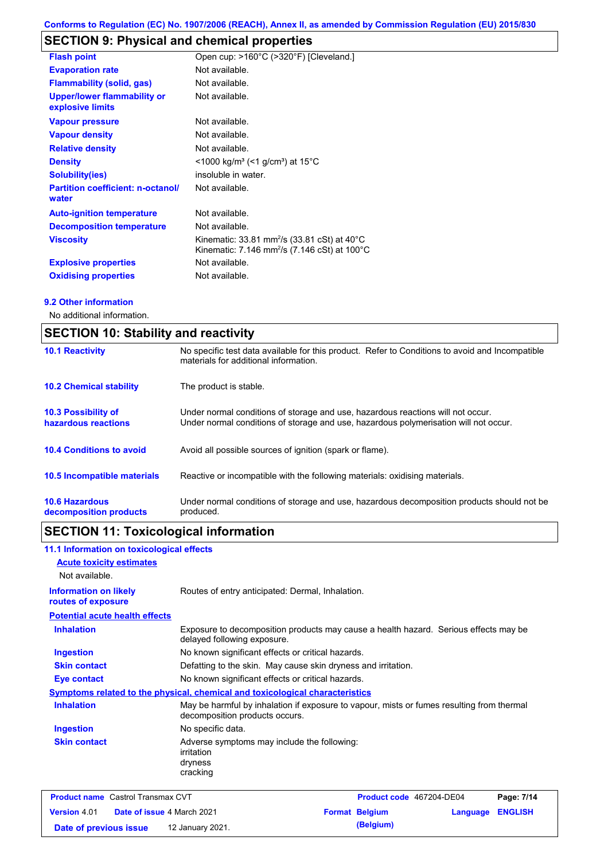# **SECTION 9: Physical and chemical properties**

| <b>Flash point</b>                                     | Open cup: >160°C (>320°F) [Cleveland.]                                                                                                   |
|--------------------------------------------------------|------------------------------------------------------------------------------------------------------------------------------------------|
| <b>Evaporation rate</b>                                | Not available.                                                                                                                           |
| <b>Flammability (solid, gas)</b>                       | Not available.                                                                                                                           |
| <b>Upper/lower flammability or</b><br>explosive limits | Not available.                                                                                                                           |
| <b>Vapour pressure</b>                                 | Not available.                                                                                                                           |
| <b>Vapour density</b>                                  | Not available.                                                                                                                           |
| <b>Relative density</b>                                | Not available.                                                                                                                           |
| <b>Density</b>                                         | $<$ 1000 kg/m <sup>3</sup> (<1 g/cm <sup>3</sup> ) at 15 <sup>°</sup> C                                                                  |
| <b>Solubility(ies)</b>                                 | insoluble in water.                                                                                                                      |
| <b>Partition coefficient: n-octanol/</b><br>water      | Not available.                                                                                                                           |
| <b>Auto-ignition temperature</b>                       | Not available.                                                                                                                           |
| <b>Decomposition temperature</b>                       | Not available.                                                                                                                           |
| <b>Viscosity</b>                                       | Kinematic: 33.81 mm <sup>2</sup> /s (33.81 cSt) at $40^{\circ}$ C<br>Kinematic: 7.146 mm <sup>2</sup> /s (7.146 cSt) at 100 $^{\circ}$ C |
| <b>Explosive properties</b>                            | Not available.                                                                                                                           |
| <b>Oxidising properties</b>                            | Not available.                                                                                                                           |

### **9.2 Other information**

No additional information.

| <b>SECTION 10: Stability and reactivity</b>       |                                                                                                                                                                         |  |  |  |
|---------------------------------------------------|-------------------------------------------------------------------------------------------------------------------------------------------------------------------------|--|--|--|
| <b>10.1 Reactivity</b>                            | No specific test data available for this product. Refer to Conditions to avoid and Incompatible<br>materials for additional information.                                |  |  |  |
| <b>10.2 Chemical stability</b>                    | The product is stable.                                                                                                                                                  |  |  |  |
| <b>10.3 Possibility of</b><br>hazardous reactions | Under normal conditions of storage and use, hazardous reactions will not occur.<br>Under normal conditions of storage and use, hazardous polymerisation will not occur. |  |  |  |
| <b>10.4 Conditions to avoid</b>                   | Avoid all possible sources of ignition (spark or flame).                                                                                                                |  |  |  |
| <b>10.5 Incompatible materials</b>                | Reactive or incompatible with the following materials: oxidising materials.                                                                                             |  |  |  |
| <b>10.6 Hazardous</b><br>decomposition products   | Under normal conditions of storage and use, hazardous decomposition products should not be<br>produced.                                                                 |  |  |  |

# **SECTION 11: Toxicological information**

| 11.1 Information on toxicological effects          |                                                                                                                             |
|----------------------------------------------------|-----------------------------------------------------------------------------------------------------------------------------|
| <b>Acute toxicity estimates</b>                    |                                                                                                                             |
| Not available.                                     |                                                                                                                             |
| <b>Information on likely</b><br>routes of exposure | Routes of entry anticipated: Dermal, Inhalation.                                                                            |
| <b>Potential acute health effects</b>              |                                                                                                                             |
| <b>Inhalation</b>                                  | Exposure to decomposition products may cause a health hazard. Serious effects may be<br>delayed following exposure.         |
| Ingestion                                          | No known significant effects or critical hazards.                                                                           |
| <b>Skin contact</b>                                | Defatting to the skin. May cause skin dryness and irritation.                                                               |
| Eye contact                                        | No known significant effects or critical hazards.                                                                           |
|                                                    | Symptoms related to the physical, chemical and toxicological characteristics                                                |
| <b>Inhalation</b>                                  | May be harmful by inhalation if exposure to vapour, mists or fumes resulting from thermal<br>decomposition products occurs. |
| Ingestion                                          | No specific data.                                                                                                           |
| <b>Skin contact</b>                                | Adverse symptoms may include the following:<br>irritation<br>dryness<br>cracking                                            |
|                                                    |                                                                                                                             |

| <b>Product name</b> Castrol Transmax CVT |  | <b>Product code</b> 467204-DE04   |  | Page: 7/14            |                  |  |
|------------------------------------------|--|-----------------------------------|--|-----------------------|------------------|--|
| <b>Version 4.01</b>                      |  | <b>Date of issue 4 March 2021</b> |  | <b>Format Belgium</b> | Language ENGLISH |  |
| Date of previous issue                   |  | 12 January 2021.                  |  | (Belgium)             |                  |  |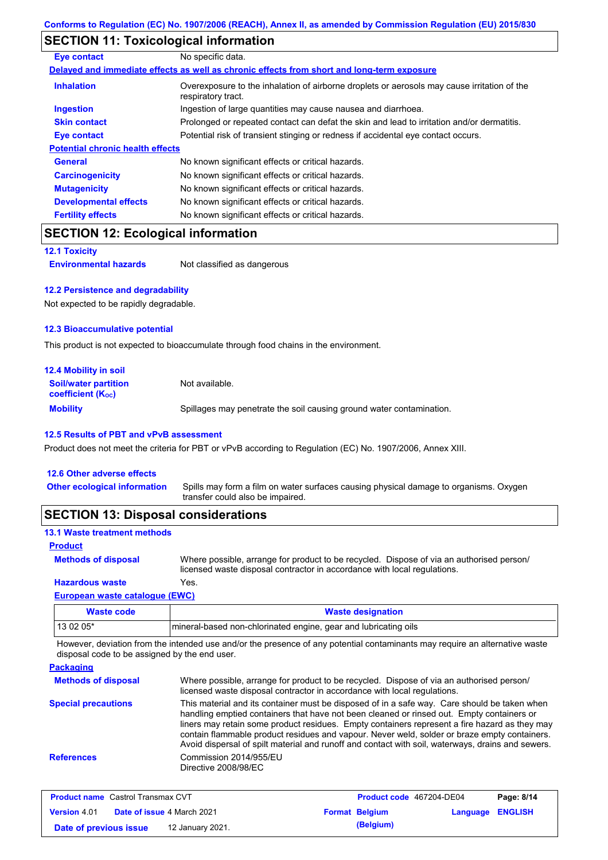## **SECTION 11: Toxicological information**

| <b>Eye contact</b>                      | No specific data.                                                                                                 |
|-----------------------------------------|-------------------------------------------------------------------------------------------------------------------|
|                                         | Delayed and immediate effects as well as chronic effects from short and long-term exposure                        |
| <b>Inhalation</b>                       | Overexposure to the inhalation of airborne droplets or aerosols may cause irritation of the<br>respiratory tract. |
| <b>Ingestion</b>                        | Ingestion of large quantities may cause nausea and diarrhoea.                                                     |
| <b>Skin contact</b>                     | Prolonged or repeated contact can defat the skin and lead to irritation and/or dermatitis.                        |
| <b>Eye contact</b>                      | Potential risk of transient stinging or redness if accidental eye contact occurs.                                 |
| <b>Potential chronic health effects</b> |                                                                                                                   |
| <b>General</b>                          | No known significant effects or critical hazards.                                                                 |
| <b>Carcinogenicity</b>                  | No known significant effects or critical hazards.                                                                 |
| <b>Mutagenicity</b>                     | No known significant effects or critical hazards.                                                                 |
| <b>Developmental effects</b>            | No known significant effects or critical hazards.                                                                 |
| <b>Fertility effects</b>                | No known significant effects or critical hazards.                                                                 |

## **SECTION 12: Ecological information**

```
12.1 Toxicity
```
**Environmental hazards** Not classified as dangerous

### **12.2 Persistence and degradability**

Not expected to be rapidly degradable.

### **12.3 Bioaccumulative potential**

This product is not expected to bioaccumulate through food chains in the environment.

| <b>12.4 Mobility in soil</b>                            |                                                                      |
|---------------------------------------------------------|----------------------------------------------------------------------|
| <b>Soil/water partition</b><br><b>coefficient (Koc)</b> | Not available.                                                       |
| <b>Mobility</b>                                         | Spillages may penetrate the soil causing ground water contamination. |

#### **12.5 Results of PBT and vPvB assessment**

Product does not meet the criteria for PBT or vPvB according to Regulation (EC) No. 1907/2006, Annex XIII.

| CECTION 42. Dianopol considerations |                                                                                                                           |  |
|-------------------------------------|---------------------------------------------------------------------------------------------------------------------------|--|
| <b>Other ecological information</b> | Spills may form a film on water surfaces causing physical damage to organisms. Oxygen<br>transfer could also be impaired. |  |
| 12.6 Other adverse effects          |                                                                                                                           |  |

### **SECTION 13: Disposal considerations**

| 13.1 Waste treatment methods |                                                                                                                                                                      |
|------------------------------|----------------------------------------------------------------------------------------------------------------------------------------------------------------------|
| <b>Product</b>               |                                                                                                                                                                      |
| <b>Methods of disposal</b>   | Where possible, arrange for product to be recycled. Dispose of via an authorised person/<br>licensed waste disposal contractor in accordance with local regulations. |
| <b>Hazardous waste</b>       | Yes.                                                                                                                                                                 |

### **European waste catalogue (EWC)**

| Waste code | <b>Waste designation</b>                                        |
|------------|-----------------------------------------------------------------|
| 13 02 05*  | mineral-based non-chlorinated engine, gear and lubricating oils |

However, deviation from the intended use and/or the presence of any potential contaminants may require an alternative waste disposal code to be assigned by the end user.

| <b>Packaging</b>           |                                                                                                                                                                                                                                                                                                                                                                                                                                                                                                 |
|----------------------------|-------------------------------------------------------------------------------------------------------------------------------------------------------------------------------------------------------------------------------------------------------------------------------------------------------------------------------------------------------------------------------------------------------------------------------------------------------------------------------------------------|
| <b>Methods of disposal</b> | Where possible, arrange for product to be recycled. Dispose of via an authorised person/<br>licensed waste disposal contractor in accordance with local regulations.                                                                                                                                                                                                                                                                                                                            |
| <b>Special precautions</b> | This material and its container must be disposed of in a safe way. Care should be taken when<br>handling emptied containers that have not been cleaned or rinsed out. Empty containers or<br>liners may retain some product residues. Empty containers represent a fire hazard as they may<br>contain flammable product residues and vapour. Never weld, solder or braze empty containers.<br>Avoid dispersal of spilt material and runoff and contact with soil, waterways, drains and sewers. |
| <b>References</b>          | Commission 2014/955/EU<br>Directive 2008/98/EC                                                                                                                                                                                                                                                                                                                                                                                                                                                  |

| <b>Product name</b> Castrol Transmax CVT |                                   |                  | Product code 467204-DE04 |                       | Page: 8/14       |  |
|------------------------------------------|-----------------------------------|------------------|--------------------------|-----------------------|------------------|--|
| <b>Version 4.01</b>                      | <b>Date of issue 4 March 2021</b> |                  |                          | <b>Format Belgium</b> | Language ENGLISH |  |
| Date of previous issue                   |                                   | 12 January 2021. |                          | (Belgium)             |                  |  |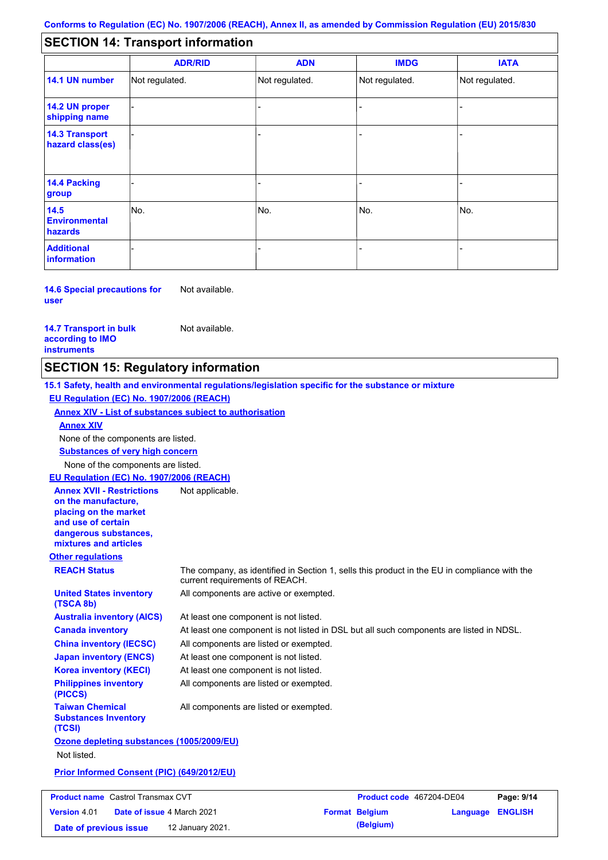#### - - - - - - - - - Not regulated. Not regulated. Not regulated. - - - **SECTION 14: Transport information ADR/RID IMDG IATA 14.1 UN number 14.2 UN proper shipping name 14.3 Transport hazard class(es) 14.4 Packing group ADN Additional information 14.5 Environmental hazards** No. 1988 | No. 1989 | No. 1989 | No. 1989 | No. 1989 | No. 1989 | No. 1989 | No. 1989 | No. 1989 | No. 1989 | Not regulated. - -<br>No. - -

**14.6 Special precautions for user** Not available.

**14.7 Transport in bulk according to IMO instruments**

Not available.

## **SECTION 15: Regulatory information**

**Other regulations REACH Status** The company, as identified in Section 1, sells this product in the EU in compliance with the current requirements of REACH. **15.1 Safety, health and environmental regulations/legislation specific for the substance or mixture EU Regulation (EC) No. 1907/2006 (REACH) Annex XIV - List of substances subject to authorisation Substances of very high concern** None of the components are listed. At least one component is not listed. At least one component is not listed in DSL but all such components are listed in NDSL. All components are listed or exempted. At least one component is not listed. All components are active or exempted. At least one component is not listed. All components are listed or exempted. **United States inventory (TSCA 8b) Australia inventory (AICS) Canada inventory China inventory (IECSC) Japan inventory (ENCS) Korea inventory (KECI) Philippines inventory (PICCS) Taiwan Chemical Substances Inventory (TCSI)** All components are listed or exempted. **Ozone depleting substances (1005/2009/EU)** Not listed. **Prior Informed Consent (PIC) (649/2012/EU)** None of the components are listed. **Annex XIV EU Regulation (EC) No. 1907/2006 (REACH) Annex XVII - Restrictions on the manufacture, placing on the market and use of certain dangerous substances, mixtures and articles** Not applicable.

| <b>Product name</b> Castrol Transmax CVT |  |                                   | Product code 467204-DE04 |                       | Page: 9/14              |  |
|------------------------------------------|--|-----------------------------------|--------------------------|-----------------------|-------------------------|--|
| <b>Version 4.01</b>                      |  | <b>Date of issue 4 March 2021</b> |                          | <b>Format Belgium</b> | <b>Language ENGLISH</b> |  |
| Date of previous issue                   |  | 12 January 2021.                  |                          | (Belgium)             |                         |  |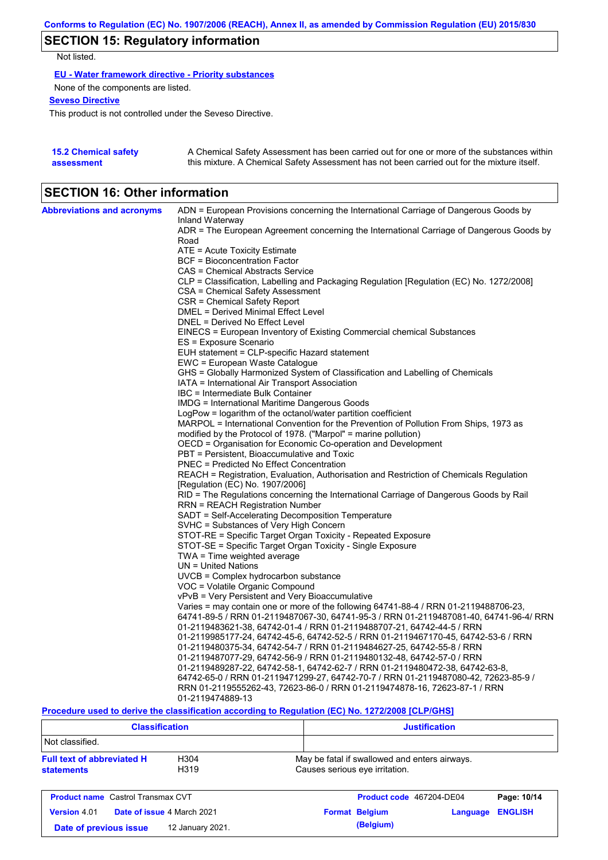## **SECTION 15: Regulatory information**

Not listed.

**EU - Water framework directive - Priority substances**

None of the components are listed.

**Seveso Directive**

This product is not controlled under the Seveso Directive.

| <b>15.2 Chemical safety</b> | A Chemical Safety Assessment has been carried out for one or more of the substances within  |
|-----------------------------|---------------------------------------------------------------------------------------------|
| assessment                  | this mixture. A Chemical Safety Assessment has not been carried out for the mixture itself. |

## **SECTION 16: Other information**

| <b>Abbreviations and acronyms</b> | ADN = European Provisions concerning the International Carriage of Dangerous Goods by                                        |
|-----------------------------------|------------------------------------------------------------------------------------------------------------------------------|
|                                   | Inland Waterway                                                                                                              |
|                                   | ADR = The European Agreement concerning the International Carriage of Dangerous Goods by                                     |
|                                   | Road                                                                                                                         |
|                                   | ATE = Acute Toxicity Estimate                                                                                                |
|                                   | <b>BCF</b> = Bioconcentration Factor                                                                                         |
|                                   | CAS = Chemical Abstracts Service<br>CLP = Classification, Labelling and Packaging Regulation [Regulation (EC) No. 1272/2008] |
|                                   |                                                                                                                              |
|                                   | CSA = Chemical Safety Assessment<br>CSR = Chemical Safety Report                                                             |
|                                   | DMEL = Derived Minimal Effect Level                                                                                          |
|                                   | DNEL = Derived No Effect Level                                                                                               |
|                                   | EINECS = European Inventory of Existing Commercial chemical Substances                                                       |
|                                   | ES = Exposure Scenario                                                                                                       |
|                                   | EUH statement = CLP-specific Hazard statement                                                                                |
|                                   | EWC = European Waste Catalogue                                                                                               |
|                                   | GHS = Globally Harmonized System of Classification and Labelling of Chemicals                                                |
|                                   | IATA = International Air Transport Association                                                                               |
|                                   | IBC = Intermediate Bulk Container                                                                                            |
|                                   | IMDG = International Maritime Dangerous Goods                                                                                |
|                                   | LogPow = logarithm of the octanol/water partition coefficient                                                                |
|                                   | MARPOL = International Convention for the Prevention of Pollution From Ships, 1973 as                                        |
|                                   | modified by the Protocol of 1978. ("Marpol" = marine pollution)                                                              |
|                                   | OECD = Organisation for Economic Co-operation and Development                                                                |
|                                   | PBT = Persistent, Bioaccumulative and Toxic                                                                                  |
|                                   | PNEC = Predicted No Effect Concentration                                                                                     |
|                                   | REACH = Registration, Evaluation, Authorisation and Restriction of Chemicals Regulation                                      |
|                                   | [Regulation (EC) No. 1907/2006]                                                                                              |
|                                   | RID = The Regulations concerning the International Carriage of Dangerous Goods by Rail                                       |
|                                   | RRN = REACH Registration Number                                                                                              |
|                                   | SADT = Self-Accelerating Decomposition Temperature                                                                           |
|                                   | SVHC = Substances of Very High Concern                                                                                       |
|                                   | STOT-RE = Specific Target Organ Toxicity - Repeated Exposure                                                                 |
|                                   | STOT-SE = Specific Target Organ Toxicity - Single Exposure                                                                   |
|                                   | TWA = Time weighted average                                                                                                  |
|                                   | $UN = United Nations$                                                                                                        |
|                                   | UVCB = Complex hydrocarbon substance                                                                                         |
|                                   | VOC = Volatile Organic Compound                                                                                              |
|                                   | vPvB = Very Persistent and Very Bioaccumulative                                                                              |
|                                   | Varies = may contain one or more of the following 64741-88-4 / RRN 01-2119488706-23,                                         |
|                                   | 64741-89-5 / RRN 01-2119487067-30, 64741-95-3 / RRN 01-2119487081-40, 64741-96-4/ RRN                                        |
|                                   | 01-2119483621-38, 64742-01-4 / RRN 01-2119488707-21, 64742-44-5 / RRN                                                        |
|                                   | 01-2119985177-24, 64742-45-6, 64742-52-5 / RRN 01-2119467170-45, 64742-53-6 / RRN                                            |
|                                   | 01-2119480375-34, 64742-54-7 / RRN 01-2119484627-25, 64742-55-8 / RRN                                                        |
|                                   | 01-2119487077-29, 64742-56-9 / RRN 01-2119480132-48, 64742-57-0 / RRN                                                        |
|                                   | 01-2119489287-22, 64742-58-1, 64742-62-7 / RRN 01-2119480472-38, 64742-63-8,                                                 |
|                                   | 64742-65-0 / RRN 01-2119471299-27, 64742-70-7 / RRN 01-2119487080-42, 72623-85-9 /                                           |
|                                   | RRN 01-2119555262-43, 72623-86-0 / RRN 01-2119474878-16, 72623-87-1 / RRN                                                    |
|                                   | 01-2119474889-13                                                                                                             |

**Procedure used to derive the classification according to Regulation (EC) No. 1272/2008 [CLP/GHS]**

| <b>Classification</b>                                                              |  | <b>Justification</b>                                                            |          |                |
|------------------------------------------------------------------------------------|--|---------------------------------------------------------------------------------|----------|----------------|
| Not classified.                                                                    |  |                                                                                 |          |                |
| <b>Full text of abbreviated H</b><br>H <sub>304</sub><br>H319<br><b>statements</b> |  | May be fatal if swallowed and enters airways.<br>Causes serious eye irritation. |          |                |
| <b>Product name</b> Castrol Transmax CVT                                           |  | Product code 467204-DE04                                                        |          | Page: 10/14    |
| <b>Version 4.01</b><br>Date of issue 4 March 2021                                  |  | <b>Format Belgium</b>                                                           | Language | <b>ENGLISH</b> |
| 12 January 2021.<br>Date of previous issue                                         |  | (Belgium)                                                                       |          |                |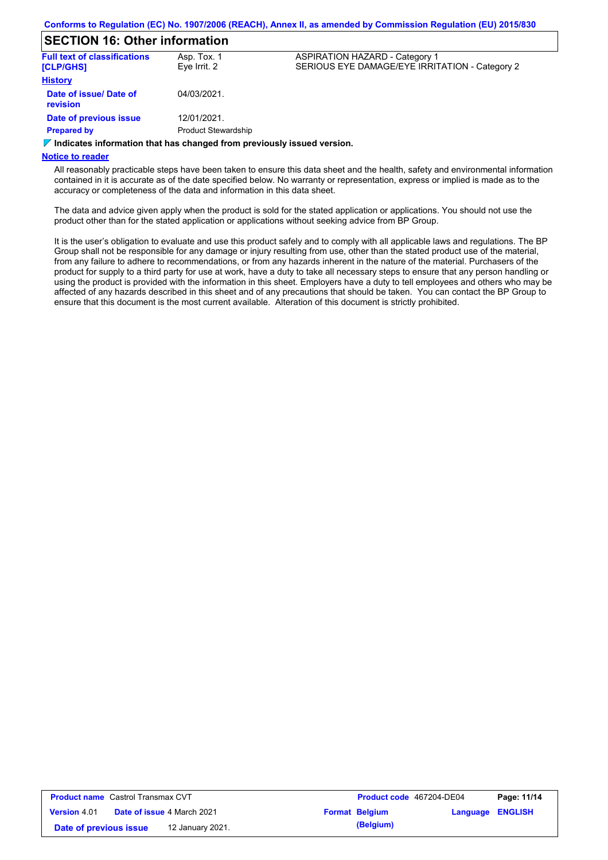## **SECTION 16: Other information**

| <b>Full text of classifications</b><br><b>[CLP/GHS]</b> | Asp. Tox. 1<br>Eve Irrit. 2 | <b>ASPIRATION HAZARD - Category 1</b><br>SERIOUS EYE DAMAGE/EYE IRRITATION - Category 2 |
|---------------------------------------------------------|-----------------------------|-----------------------------------------------------------------------------------------|
| <b>History</b>                                          |                             |                                                                                         |
| Date of issue/ Date of<br><b>revision</b>               | 04/03/2021.                 |                                                                                         |
| Date of previous issue                                  | 12/01/2021.                 |                                                                                         |
| <b>Prepared by</b>                                      | <b>Product Stewardship</b>  |                                                                                         |
|                                                         |                             |                                                                                         |

#### **Indicates information that has changed from previously issued version.**

#### **Notice to reader**

All reasonably practicable steps have been taken to ensure this data sheet and the health, safety and environmental information contained in it is accurate as of the date specified below. No warranty or representation, express or implied is made as to the accuracy or completeness of the data and information in this data sheet.

The data and advice given apply when the product is sold for the stated application or applications. You should not use the product other than for the stated application or applications without seeking advice from BP Group.

It is the user's obligation to evaluate and use this product safely and to comply with all applicable laws and regulations. The BP Group shall not be responsible for any damage or injury resulting from use, other than the stated product use of the material, from any failure to adhere to recommendations, or from any hazards inherent in the nature of the material. Purchasers of the product for supply to a third party for use at work, have a duty to take all necessary steps to ensure that any person handling or using the product is provided with the information in this sheet. Employers have a duty to tell employees and others who may be affected of any hazards described in this sheet and of any precautions that should be taken. You can contact the BP Group to ensure that this document is the most current available. Alteration of this document is strictly prohibited.

| <b>Product name</b> Castrol Transmax CVT |                                   |                  | <b>Product code</b> 467204-DE04 |                       | Page: 11/14             |  |
|------------------------------------------|-----------------------------------|------------------|---------------------------------|-----------------------|-------------------------|--|
| <b>Version 4.01</b>                      | <b>Date of issue 4 March 2021</b> |                  |                                 | <b>Format Belgium</b> | <b>Language ENGLISH</b> |  |
| Date of previous issue                   |                                   | 12 January 2021. |                                 | (Belgium)             |                         |  |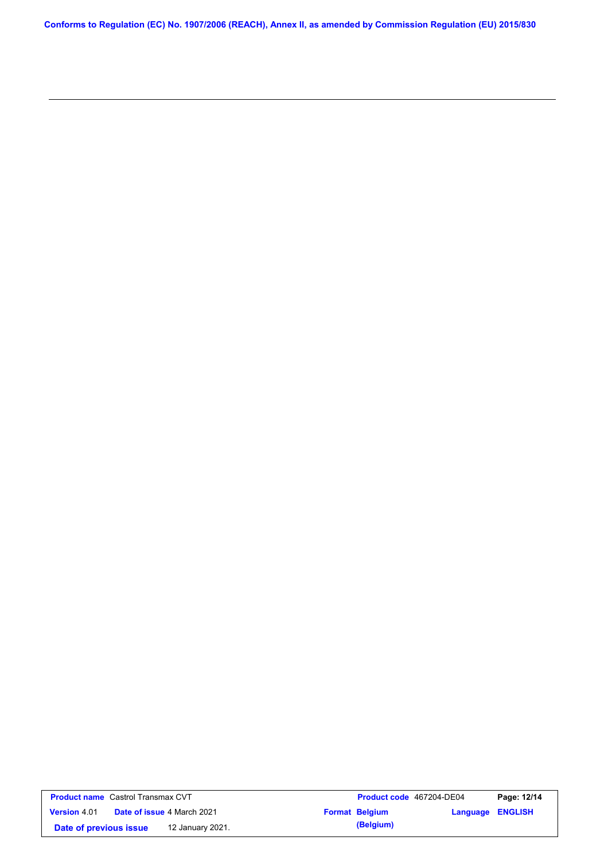| <b>Product name</b> Castrol Transmax CVT |  |                                   |  | Product code 467204-DE04 | Page: 12/14             |  |
|------------------------------------------|--|-----------------------------------|--|--------------------------|-------------------------|--|
| <b>Version 4.01</b>                      |  | <b>Date of issue 4 March 2021</b> |  | <b>Format Belgium</b>    | <b>Language ENGLISH</b> |  |
| Date of previous issue                   |  | 12 January 2021.                  |  | (Belgium)                |                         |  |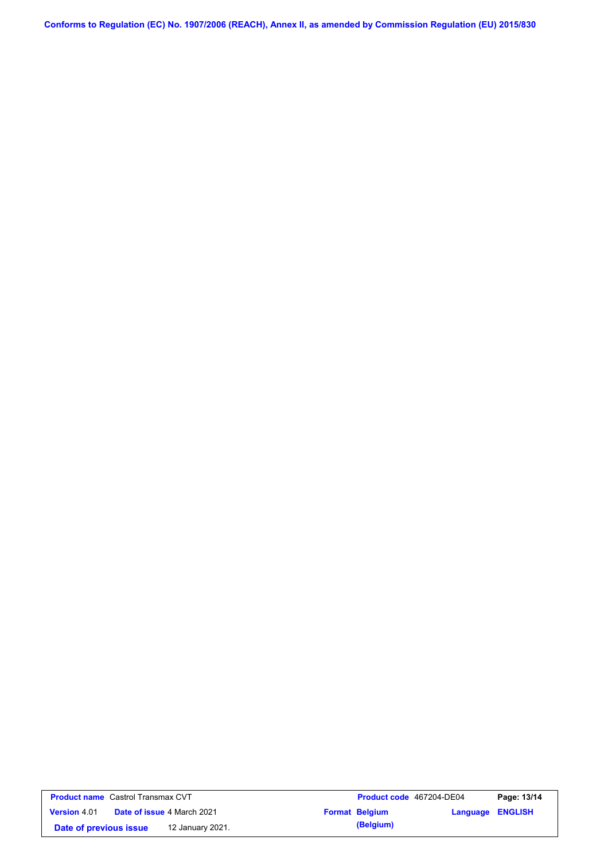| <b>Product name</b> Castrol Transmax CVT |  |                                   | Product code 467204-DE04 | Page: 13/14           |                  |
|------------------------------------------|--|-----------------------------------|--------------------------|-----------------------|------------------|
| <b>Version 4.01</b>                      |  | <b>Date of issue 4 March 2021</b> |                          | <b>Format Belgium</b> | Language ENGLISH |
| Date of previous issue                   |  | 12 January 2021.                  |                          | (Belgium)             |                  |